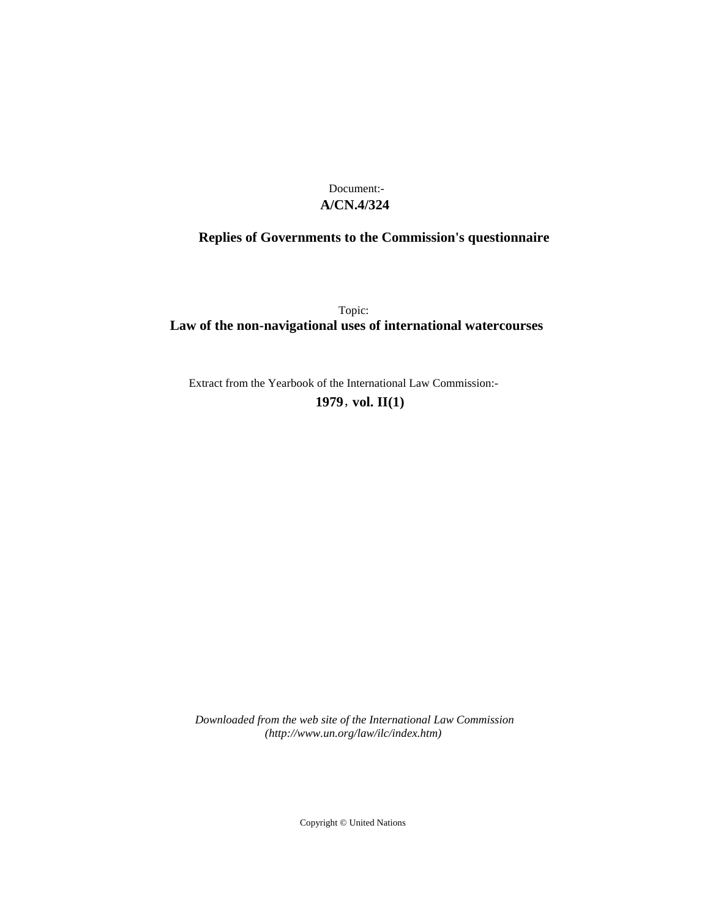# **A/CN.4/324** Document:-

# **Replies of Governments to the Commission's questionnaire**

Topic: **Law of the non-navigational uses of international watercourses**

Extract from the Yearbook of the International Law Commission:- **1979** , **vol. II(1)**

*Downloaded from the web site of the International Law Commission (http://www.un.org/law/ilc/index.htm)*

Copyright © United Nations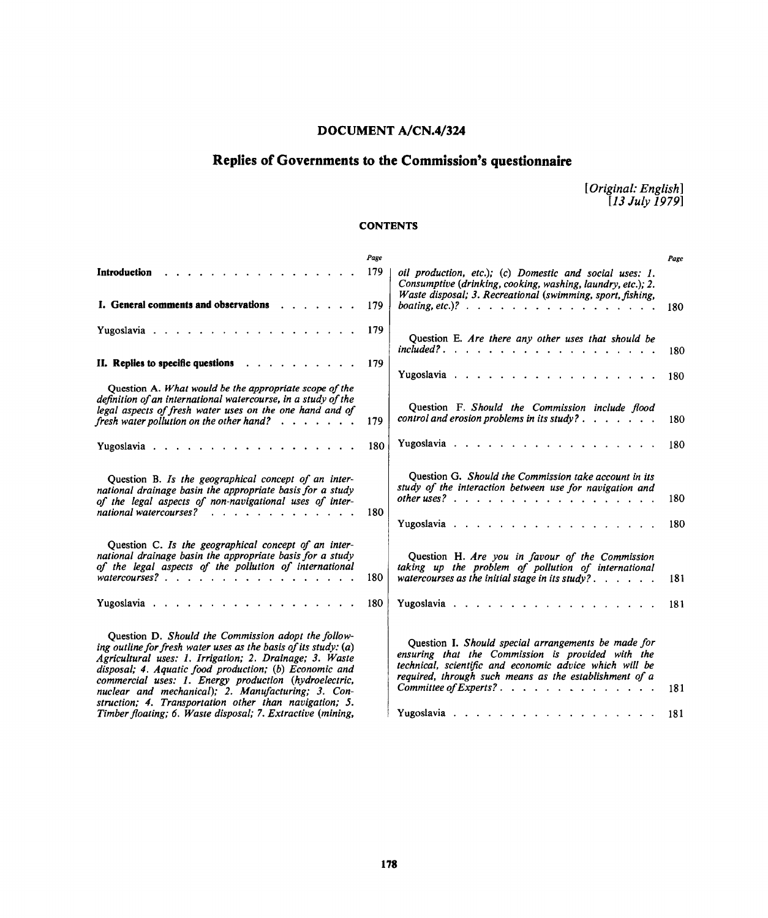# **DOCUMENT A/CN.4/324**

# **Replies of Governments to the Commission's questionnaire**

*[Original: English] [13 July 1979)*

# **CONTENTS**

|                                                                                                                                                                                                                                                                                                                                                                                                                                                                                      | Page |                                                                                                                                                                                                                                                                                                                                                                                                                                                                                                                                         | Page       |
|--------------------------------------------------------------------------------------------------------------------------------------------------------------------------------------------------------------------------------------------------------------------------------------------------------------------------------------------------------------------------------------------------------------------------------------------------------------------------------------|------|-----------------------------------------------------------------------------------------------------------------------------------------------------------------------------------------------------------------------------------------------------------------------------------------------------------------------------------------------------------------------------------------------------------------------------------------------------------------------------------------------------------------------------------------|------------|
| Introduction                                                                                                                                                                                                                                                                                                                                                                                                                                                                         | 179  | oil production, etc.); (c) Domestic and social uses: 1.<br>Consumptive (drinking, cooking, washing, laundry, etc.); 2.                                                                                                                                                                                                                                                                                                                                                                                                                  |            |
| I. General comments and observations 179                                                                                                                                                                                                                                                                                                                                                                                                                                             |      | Waste disposal; 3. Recreational (swimming, sport, fishing,<br>boating, etc.)? $\therefore$ $\therefore$ $\therefore$ $\therefore$ $\therefore$ $\therefore$ $\therefore$ $\therefore$ $\therefore$ $\therefore$ $\therefore$ $\therefore$ $\therefore$ $\therefore$ $\therefore$ $\therefore$ $\therefore$ $\therefore$ $\therefore$ $\therefore$ $\therefore$ $\therefore$ $\therefore$ $\therefore$ $\therefore$ $\therefore$ $\therefore$ $\therefore$ $\therefore$ $\therefore$ $\therefore$ $\therefore$ $\therefore$ $\therefore$ | 180        |
|                                                                                                                                                                                                                                                                                                                                                                                                                                                                                      | 179  | Question E. Are there any other uses that should be<br>$include? \ldots \ldots \ldots \ldots$                                                                                                                                                                                                                                                                                                                                                                                                                                           | 180        |
| II. Replies to specific questions                                                                                                                                                                                                                                                                                                                                                                                                                                                    | 179  |                                                                                                                                                                                                                                                                                                                                                                                                                                                                                                                                         | 180        |
| Question A. What would be the appropriate scope of the<br>definition of an international watercourse, in a study of the<br>legal aspects of fresh water uses on the one hand and of<br>fresh water pollution on the other hand? $\ldots$                                                                                                                                                                                                                                             | 179  | Question F. Should the Commission include flood<br>control and erosion problems in its study? $\ldots$ $\ldots$ $\ldots$                                                                                                                                                                                                                                                                                                                                                                                                                | 180        |
| Yugoslavia                                                                                                                                                                                                                                                                                                                                                                                                                                                                           | 180  |                                                                                                                                                                                                                                                                                                                                                                                                                                                                                                                                         | 180        |
| Question B. Is the geographical concept of an inter-<br>national drainage basin the appropriate basis for a study<br>of the legal aspects of non-navigational uses of inter-<br>national watercourses?                                                                                                                                                                                                                                                                               | 180  | Question G. Should the Commission take account in its<br>study of the interaction between use for navigation and<br>other uses? $\cdots$ $\cdots$ $\cdots$ $\cdots$ $\cdots$ $\cdots$ $\cdots$ $\cdots$ $\cdots$                                                                                                                                                                                                                                                                                                                        | 180<br>180 |
| Question C. Is the geographical concept of an inter-<br>national drainage basin the appropriate basis for a study<br>of the legal aspects of the pollution of international<br>watercourses?                                                                                                                                                                                                                                                                                         | 180  | Question H. Are you in favour of the Commission<br>taking up the problem of pollution of international<br>watercourses as the initial stage in its study? $\ldots$ , $\ldots$                                                                                                                                                                                                                                                                                                                                                           | 181        |
|                                                                                                                                                                                                                                                                                                                                                                                                                                                                                      | 180  |                                                                                                                                                                                                                                                                                                                                                                                                                                                                                                                                         | 181        |
| Question D. Should the Commission adopt the follow-<br>ing outline for fresh water uses as the basis of its study: $(a)$<br>Agricultural uses: 1. Irrigation; 2. Drainage; 3. Waste<br>disposal; 4. Aquatic food production; (b) Economic and<br>commercial uses: 1. Energy production (hydroelectric,<br>nuclear and mechanical); 2. Manufacturing; 3. Con-<br>struction; 4. Transportation other than navigation; 5.<br>Timber floating; 6. Waste disposal; 7. Extractive (mining, |      | Question I. Should special arrangements be made for<br>ensuring that the Commission is provided with the<br>technical, scientific and economic advice which will be<br>required, through such means as the establishment of a<br>Yugoslavia 181                                                                                                                                                                                                                                                                                         | 181        |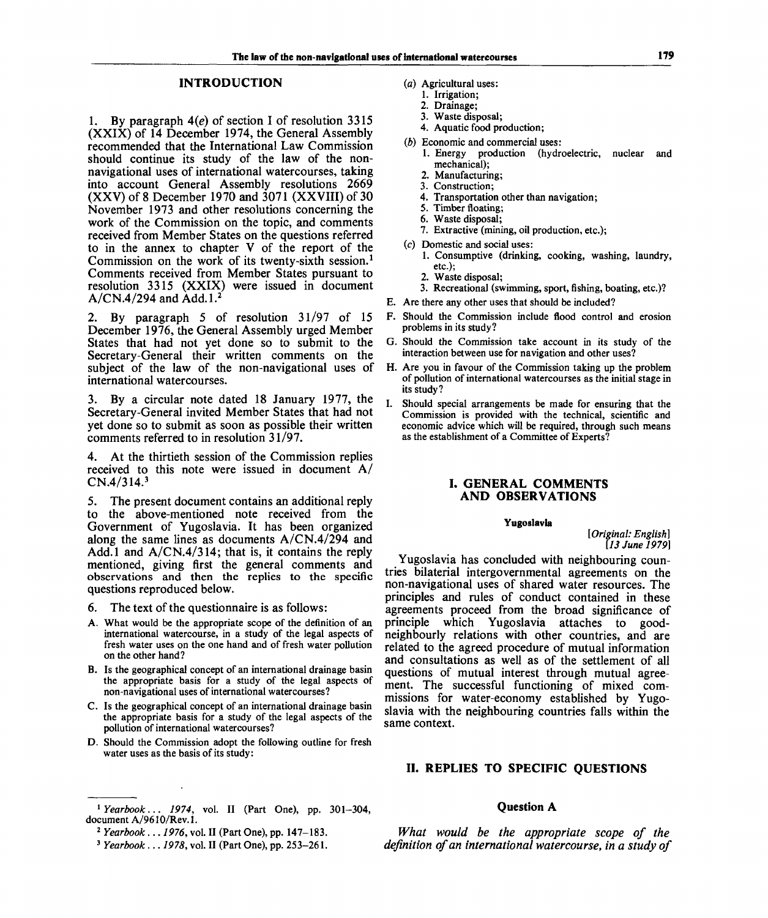# **INTRODUCTION**

1. By paragraph *4(e)* of section I of resolution 3315 (XXIX) of 14 December 1974, the General Assembly recommended that the International Law Commission should continue its study of the law of the nonnavigational uses of international watercourses, taking into account General Assembly resolutions 2669 (XXV) of 8 December 1970 and *3011* (XXVIII) of 30 November 1973 and other resolutions concerning the work of the Commission on the topic, and comments received from Member States on the questions referred to in the annex to chapter V of the report of the Commission on the work of its twenty-sixth session.<sup>1</sup> Comments received from Member States pursuant to resolution 3315 (XXIX) were issued in document  $A/CN.4/294$  and Add.1.<sup>2</sup>

2. By paragraph 5 of resolution 31/97 of 15 December 1976, the General Assembly urged Member States that had not yet done so to submit to the Secretary-General their written comments on the subject of the law of the non-navigational uses of international watercourses.

3. By a circular note dated 18 January 1977, the Secretary-General invited Member States that had not yet done so to submit as soon as possible their written comments referred to in resolution 31/97.

4. At the thirtieth session of the Commission replies received to this note were issued in document A/  $CN.4/314.<sup>3</sup>$ 

5. The present document contains an additional reply to the above-mentioned note received from the Government of Yugoslavia. It has been organized along the same lines as documents A/CN.4/294 and Add.l and A/CN.4/314; that is, it contains the reply mentioned, giving first the general comments and observations and then the replies to the specific questions reproduced below.

- 6. The text of the questionnaire is as follows:
- A. What would be the appropriate scope of the definition of an international watercourse, in a study of the legal aspects of fresh water uses on the one hand and of fresh water pollution on the other hand?
- B. Is the geographical concept of an international drainage basin the appropriate basis for a study of the legal aspects of non-navigational uses of international watercourses?
- C. Is the geographical concept of an international drainage basin the appropriate basis for a study of the legal aspects of the pollution of international watercourses?
- D. Should the Commission adopt the following outline for fresh water uses as the basis of its study:
- (a) Agricultural uses:
	- 1. Irrigation;
	- 2. Drainage;
	- 3. Waste disposal;
	- 4. Aquatic food production;
- *(b)* Economic and commercial uses:
	- 1. Energy production (hydroelectric, nuclear and mechanical);
	- 2. Manufacturing;
	- 3. Construction;
	- 4. Transportation other than navigation;
	- 5. Timber floating;
	- 6. Waste disposal;
	- 7. Extractive (mining, oil production, etc.);
- (c) Domestic and social uses:
	- 1. Consumptive (drinking, cooking, washing, laundry, etc.);
	- 2. Waste disposal;
- 3. Recreational (swimming, sport, fishing, boating, etc.)?
- E. Are there any other uses that should be included?
- F. Should the Commission include flood control and erosion problems in its study?
- G. Should the Commission take account in its study of the interaction between use for navigation and other uses?
- H. Are you in favour of the Commission taking up the problem of pollution of international watercourses as the initial stage in its study?
- I. Should special arrangements be made for ensuring that the Commission is provided with the technical, scientific and economic advice which will be required, through such means as the establishment of a Committee of Experts?

## **I. GENERAL COMMENTS AND OBSERVATIONS**

#### **Yugoslavia**

*[Original: English] [13 June 1979}*

Yugoslavia has concluded with neighbouring countries bilaterial intergovernmental agreements on the non-navigational uses of shared water resources. The principles and rules of conduct contained in these agreements proceed from the broad significance of principle which Yugoslavia attaches to goodneighbourly relations with other countries, and are related to the agreed procedure of mutual information and consultations as well as of the settlement of all questions of mutual interest through mutual agreement. The successful functioning of mixed commissions for water-economy established by Yugoslavia with the neighbouring countries falls within the same context.

### **II. REPLIES TO SPECIFIC QUESTIONS**

## **Question A**

*What would be the appropriate scope of the definition of an international watercourse, in a study of*

<sup>1</sup>  *Yearbook... 1974,* vol. II (Part One), pp. 301-304, document A/9610/Rev.1.

<sup>2</sup>  *Yearbook... 1976,* vol. II (Part One), pp. 147-183.

<sup>3</sup>  *Yearbook..*. *1978,* vol. II (Part One), pp. 253-261.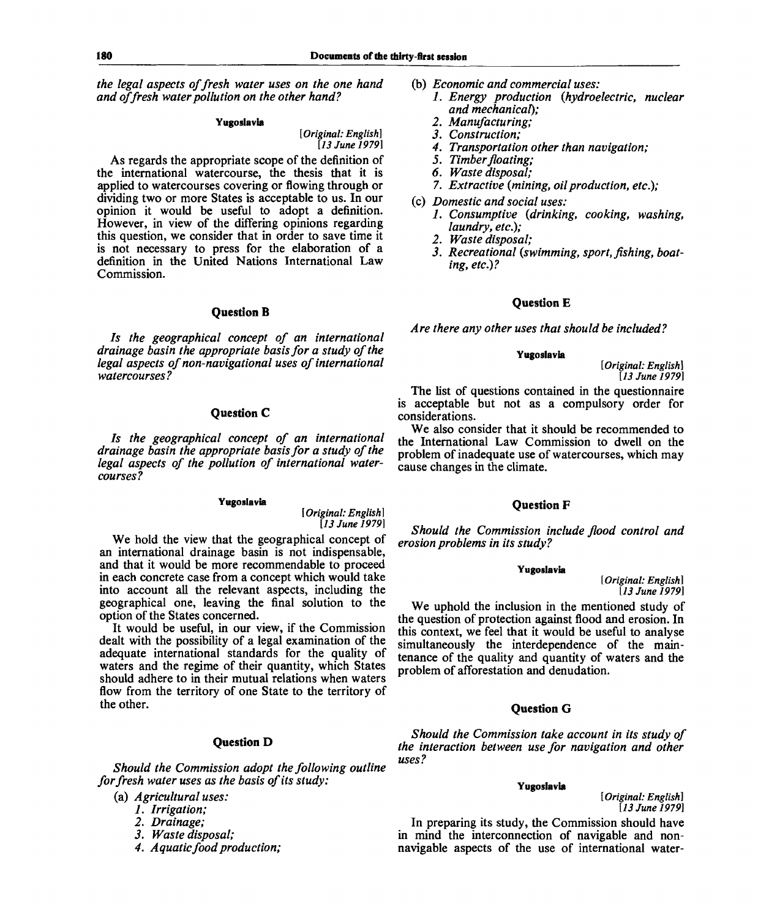*the legal aspects of fresh water uses on the one hand and of fresh water pollution on the other hand?*

#### **Yugoslavia**

*[Original: English] [13 June 1979]*

As regards the appropriate scope of the definition of the international watercourse, the thesis that it is applied to watercourses covering or flowing through or dividing two or more States is acceptable to us. In our opinion it would be useful to adopt a definition. However, in view of the differing opinions regarding this question, we consider that in order to save time it is not necessary to press for the elaboration of a definition in the United Nations International Law Commission.

#### **Question B**

*Is the geographical concept of an international drainage basin the appropriate basis for a study of the legal aspects of non-navigational uses of international watercourses?*

# **Question C**

*Is the geographical concept of an international drainage basin the appropriate basis for a study of the legal aspects of the pollution of international watercourses?*

#### **Yugoslavia**

*[Original: English] [13 June 1979]*

We hold the view that the geographical concept of an international drainage basin is not indispensable, and that it would be more recommendable to proceed in each concrete case from a concept which would take into account all the relevant aspects, including the geographical one, leaving the final solution to the option of the States concerned.

It would be useful, in our view, if the Commission dealt with the possibility of a legal examination of the adequate international standards for the quality of waters and the regime of their quantity, which States should adhere to in their mutual relations when waters flow from the territory of one State to the territory of the other.

# **Question D**

*Should the Commission adopt the following outline for fresh water uses as the basis of its study:*

(a) *Agricultural uses:*

- *1. Irrigation;*
- *2. Drainage;*
- *3. Waste disposal;*
- *4. Aquatic food production;*
- (b) *Economic and commercial uses:*
	- *1. Energy production {hydroelectric, nuclear and mechanical);*
	- *2. Manufacturing;*
	- *3. Construction;*
	- *4. Transportation other than navigation;*
	- *5. Timber floating;*
	- *6. Waste disposal;*
	- *7. Extractive {mining, oil production, etc);*
- (c) *Domestic and social uses:*
	- *1. Consumptive {drinking, cooking, washing, laundry, etc.);*
	- *2. Waste disposal;*
	- *3. Recreational {swimming, sport, fishing, boating, etc.)?*

## **Question** E

*Are there any other uses that should be included?*

### **Yugoslavia**

*[Original: English] [13 June 1979]*

The list of questions contained in the questionnaire is acceptable but not as a compulsory order for considerations.

We also consider that it should be recommended to the International Law Commission to dwell on the problem of inadequate use of watercourses, which may cause changes in the climate.

### **Question F**

*Should the Commission include flood control and erosion problems in its study?*

#### **Yugoslavia**

*[Original: English] [13 June 1979]*

We uphold the inclusion in the mentioned study of the question of protection against flood and erosion. In this context, we feel that it would be useful to analyse simultaneously the interdependence of the maintenance of the quality and quantity of waters and the problem of afforestation and denudation.

# **Question G**

*Should the Commission take account in its study of the interaction between use for navigation and other uses?*

#### **Yugoslavia**

In preparing its study, the Commission should have in mind the interconnection of navigable and nonnavigable aspects of the use of international water-